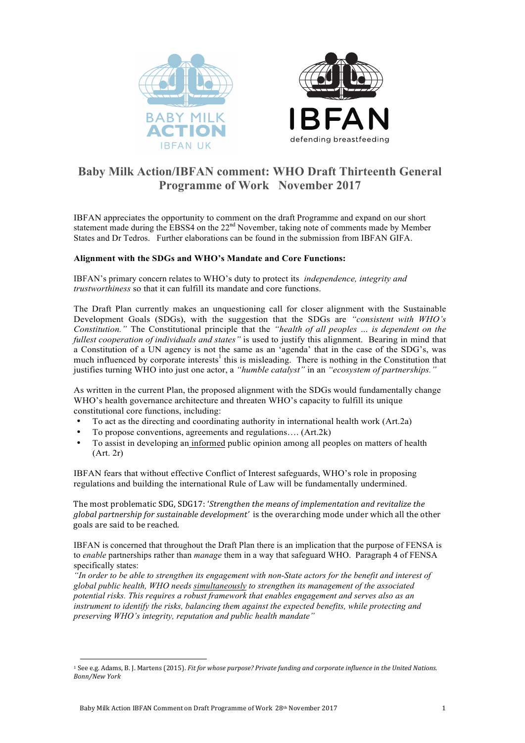

# **Baby Milk Action/IBFAN comment: WHO Draft Thirteenth General Programme of Work November 2017**

IBFAN appreciates the opportunity to comment on the draft Programme and expand on our short statement made during the EBSS4 on the 22<sup>nd</sup> November, taking note of comments made by Member States and Dr Tedros. Further elaborations can be found in the submission from IBFAN GIFA.

# **Alignment with the SDGs and WHO's Mandate and Core Functions:**

IBFAN's primary concern relates to WHO's duty to protect its *independence, integrity and trustworthiness* so that it can fulfill its mandate and core functions.

The Draft Plan currently makes an unquestioning call for closer alignment with the Sustainable Development Goals (SDGs), with the suggestion that the SDGs are *"consistent with WHO's Constitution."* The Constitutional principle that the *"health of all peoples … is dependent on the fullest cooperation of individuals and states"* is used to justify this alignment. Bearing in mind that a Constitution of a UN agency is not the same as an 'agenda' that in the case of the SDG's, was much influenced by corporate interests<sup>1</sup> this is misleading. There is nothing in the Constitution that justifies turning WHO into just one actor, a *"humble catalyst"* in an *"ecosystem of partnerships."*

As written in the current Plan, the proposed alignment with the SDGs would fundamentally change WHO's health governance architecture and threaten WHO's capacity to fulfill its unique constitutional core functions, including:

- To act as the directing and coordinating authority in international health work (Art.2a)
- To propose conventions, agreements and regulations…. (Art.2k)
- To assist in developing an informed public opinion among all peoples on matters of health (Art. 2r)

IBFAN fears that without effective Conflict of Interest safeguards, WHO's role in proposing regulations and building the international Rule of Law will be fundamentally undermined.

The most problematic SDG, SDG17: '*Strengthen the means of implementation and revitalize the global partnership for sustainable development'* is the overarching mode under which all the other goals are said to be reached.

IBFAN is concerned that throughout the Draft Plan there is an implication that the purpose of FENSA is to *enable* partnerships rather than *manage* them in a way that safeguard WHO. Paragraph 4 of FENSA specifically states:

*"In order to be able to strengthen its engagement with non-State actors for the benefit and interest of global public health, WHO needs simultaneously to strengthen its management of the associated potential risks. This requires a robust framework that enables engagement and serves also as an instrument to identify the risks, balancing them against the expected benefits, while protecting and preserving WHO's integrity, reputation and public health mandate"*

 

<sup>&</sup>lt;sup>1</sup> See e.g. Adams, B. J. Martens (2015). *Fit for whose purpose? Private funding and corporate influence in the United Nations. Bonn/New York*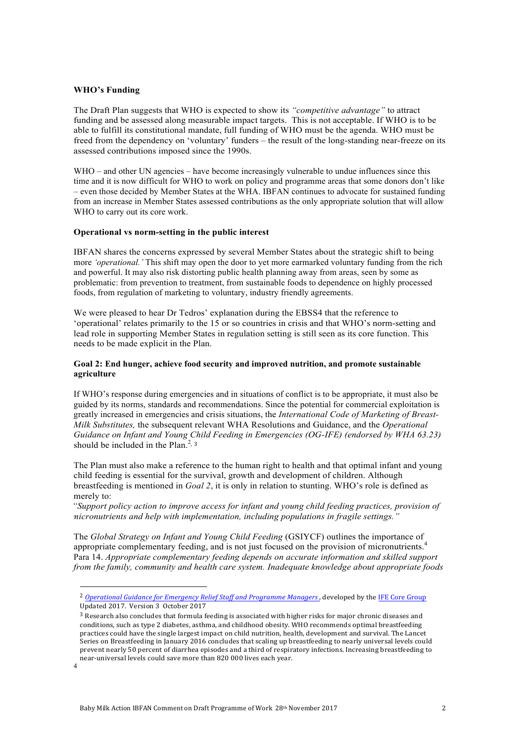#### **WHO's Funding**

The Draft Plan suggests that WHO is expected to show its *"competitive advantage"* to attract funding and be assessed along measurable impact targets. This is not acceptable. If WHO is to be able to fulfill its constitutional mandate, full funding of WHO must be the agenda. WHO must be freed from the dependency on 'voluntary' funders – the result of the long-standing near-freeze on its assessed contributions imposed since the 1990s.

WHO – and other UN agencies – have become increasingly vulnerable to undue influences since this time and it is now difficult for WHO to work on policy and programme areas that some donors don't like – even those decided by Member States at the WHA. IBFAN continues to advocate for sustained funding from an increase in Member States assessed contributions as the only appropriate solution that will allow WHO to carry out its core work.

#### **Operational vs norm-setting in the public interest**

IBFAN shares the concerns expressed by several Member States about the strategic shift to being more *'operational.'* This shift may open the door to yet more earmarked voluntary funding from the rich and powerful. It may also risk distorting public health planning away from areas, seen by some as problematic: from prevention to treatment, from sustainable foods to dependence on highly processed foods, from regulation of marketing to voluntary, industry friendly agreements.

We were pleased to hear Dr Tedros' explanation during the EBSS4 that the reference to 'operational' relates primarily to the 15 or so countries in crisis and that WHO's norm-setting and lead role in supporting Member States in regulation setting is still seen as its core function. This needs to be made explicit in the Plan.

#### **Goal 2: End hunger, achieve food security and improved nutrition, and promote sustainable agriculture**

If WHO's response during emergencies and in situations of conflict is to be appropriate, it must also be guided by its norms, standards and recommendations. Since the potential for commercial exploitation is greatly increased in emergencies and crisis situations, the *International Code of Marketing of Breast-Milk Substitutes,* the subsequent relevant WHA Resolutions and Guidance, and the *Operational Guidance on Infant and Young Child Feeding in Emergencies (OG-IFE) (endorsed by WHA 63.23)*  should be included in the Plan.<sup>2, 3</sup>

The Plan must also make a reference to the human right to health and that optimal infant and young child feeding is essential for the survival, growth and development of children. Although breastfeeding is mentioned in *Goal 2*, it is only in relation to stunting. WHO's role is defined as merely to:

*"Support policy action to improve access for infant and young child feeding practices, provision of micronutrients and help with implementation, including populations in fragile settings."*

The *Global Strategy on Infant and Young Child Feeding* (GSIYCF) outlines the importance of appropriate complementary feeding, and is not just focused on the provision of micronutrients.<sup>4</sup> Para 14. *Appropriate complementary feeding depends on accurate information and skilled support from the family, community and health care system. Inadequate knowledge about appropriate foods* 

 

<sup>&</sup>lt;sup>2</sup> Operational Guidance for Emergency Relief Staff and Programme Managers, developed by the IFE Core Group Updated 2017. Version 3 October 2017

<sup>&</sup>lt;sup>3</sup> Research also concludes that formula feeding is associated with higher risks for major chronic diseases and conditions, such as type 2 diabetes, asthma, and childhood obesity. WHO recommends optimal breastfeeding practices could have the single largest impact on child nutrition, health, development and survival. The Lancet Series on Breastfeeding in January 2016 concludes that scaling up breastfeeding to nearly universal levels could prevent nearly 50 percent of diarrhea episodes and a third of respiratory infections. Increasing breastfeeding to near-universal levels could save more than 820 000 lives each year.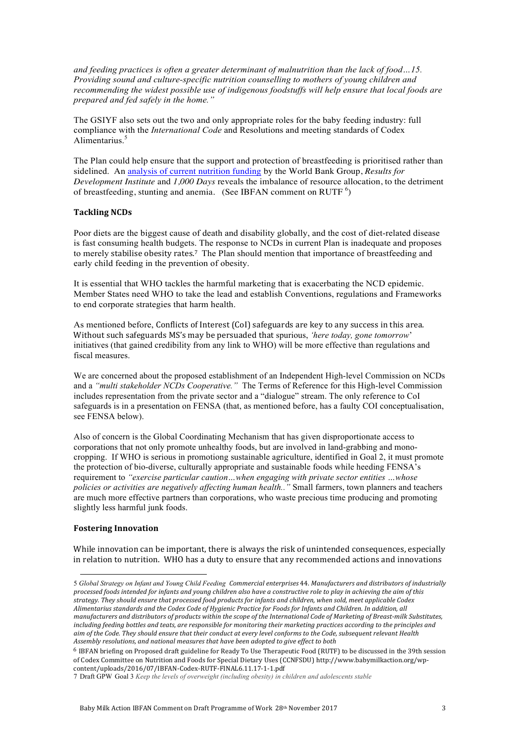*and feeding practices is often a greater determinant of malnutrition than the lack of food…15. Providing sound and culture-specific nutrition counselling to mothers of young children and recommending the widest possible use of indigenous foodstuffs will help ensure that local foods are prepared and fed safely in the home."*

The GSIYF also sets out the two and only appropriate roles for the baby feeding industry: full compliance with the *International Code* and Resolutions and meeting standards of Codex Alimentarius. 5

The Plan could help ensure that the support and protection of breastfeeding is prioritised rather than sidelined. An analysis of current nutrition funding by the World Bank Group, *Results for Development Institute* and *1,000 Days* reveals the imbalance of resource allocation, to the detriment of breastfeeding, stunting and anemia. (See IBFAN comment on RUTF  $^6$ )

# **Tackling NCDs**

Poor diets are the biggest cause of death and disability globally, and the cost of diet-related disease is fast consuming health budgets. The response to NCDs in current Plan is inadequate and proposes to merely stabilise obesity rates.<sup>7</sup> The Plan should mention that importance of breastfeeding and early child feeding in the prevention of obesity.

It is essential that WHO tackles the harmful marketing that is exacerbating the NCD epidemic. Member States need WHO to take the lead and establish Conventions, regulations and Frameworks to end corporate strategies that harm health.

As mentioned before, Conflicts of Interest (CoI) safeguards are key to any success in this area. Without such safeguards MS's may be persuaded that spurious, *'here today, gone tomorrow'* initiatives (that gained credibility from any link to WHO) will be more effective than regulations and fiscal measures.

We are concerned about the proposed establishment of an Independent High-level Commission on NCDs and a *"multi stakeholder NCDs Cooperative."* The Terms of Reference for this High-level Commission includes representation from the private sector and a "dialogue" stream. The only reference to CoI safeguards is in a presentation on FENSA (that, as mentioned before, has a faulty COI conceptualisation, see FENSA below).

Also of concern is the Global Coordinating Mechanism that has given disproportionate access to corporations that not only promote unhealthy foods, but are involved in land-grabbing and monocropping. If WHO is serious in promotiong sustainable agriculture, identified in Goal 2, it must promote the protection of bio-diverse, culturally appropriate and sustainable foods while heeding FENSA's requirement to *"exercise particular caution…when engaging with private sector entities …whose policies or activities are negatively affecting human health.."* Small farmers, town planners and teachers are much more effective partners than corporations, who waste precious time producing and promoting slightly less harmful junk foods.

# **Fostering Innovation**

 

While innovation can be important, there is always the risk of unintended consequences, especially in relation to nutrition. WHO has a duty to ensure that any recommended actions and innovations

<sup>5</sup> Global Strategy on Infant and Young Child Feeding Commercial enterprises 44. Manufacturers and distributors of industrially processed foods intended for infants and young children also have a constructive role to play in achieving the aim of this strategy. They should ensure that processed food products for infants and children, when sold, meet applicable Codex *Alimentarius standards and the Codex Code of Hygienic Practice for Foods for Infants and Children. In addition, all manufacturers and distributors of products within the scope of the International Code of Marketing of Breast-milk Substitutes, including* feeding bottles and teats, are responsible for monitoring their marketing practices according to the principles and *aim* of the Code. They should ensure that their conduct at every level conforms to the Code, subsequent relevant Health Assembly resolutions, and national measures that have been adopted to give effect to both

 $6$  IBFAN briefing on Proposed draft guideline for Ready To Use Therapeutic Food (RUTF) to be discussed in the 39th session of Codex Committee on Nutrition and Foods for Special Dietary Uses (CCNFSDU) http://www.babymilkaction.org/wpcontent/uploads/2016/07/IBFAN-Codex-RUTF-FINAL6.11.17-1-1.pdf

<sup>7</sup> Draft GPW Goal 3 *Keep the levels of overweight (including obesity) in children and adolescents stable*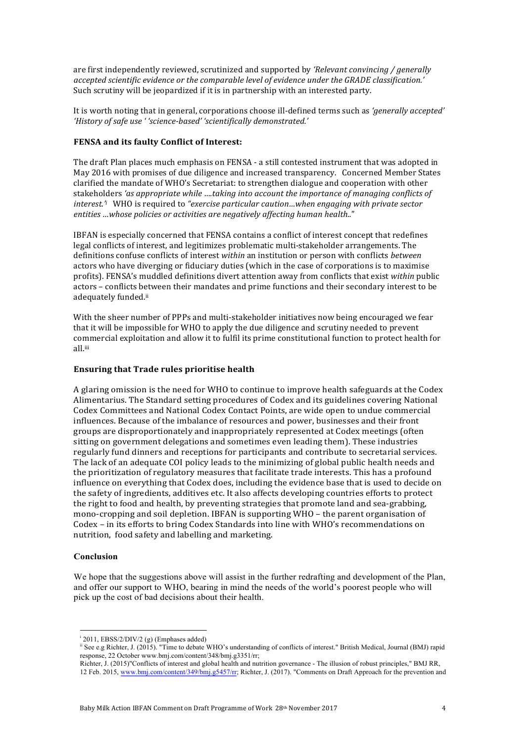are first independently reviewed, scrutinized and supported by 'Relevant convincing / generally *accepted scientific evidence or the comparable level of evidence under the GRADE classification.'* Such scrutiny will be jeopardized if it is in partnership with an interested party.

It is worth noting that in general, corporations choose ill-defined terms such as 'generally accepted' 'History of safe use ' 'science-based' 'scientifically demonstrated.'

# **FENSA and its faulty Conflict of Interest:**

The draft Plan places much emphasis on FENSA - a still contested instrument that was adopted in May 2016 with promises of due diligence and increased transparency. Concerned Member States clarified the mandate of WHO's Secretariat: to strengthen dialogue and cooperation with other stakeholders 'as appropriate while  $...$ taking into account the importance of managing conflicts of *interest.<sup>\*</sup>* WHO is required to *"exercise particular caution...when engaging with private sector* entities ...whose policies or activities are negatively affecting human health.."

IBFAN is especially concerned that FENSA contains a conflict of interest concept that redefines legal conflicts of interest, and legitimizes problematic multi-stakeholder arrangements. The definitions confuse conflicts of interest *within* an institution or person with conflicts *between* actors who have diverging or fiduciary duties (which in the case of corporations is to maximise profits). FENSA's muddled definitions divert attention away from conflicts that exist *within* public actors – conflicts between their mandates and prime functions and their secondary interest to be adequately funded.ii

With the sheer number of PPPs and multi-stakeholder initiatives now being encouraged we fear that it will be impossible for WHO to apply the due diligence and scrutiny needed to prevent commercial exploitation and allow it to fulfil its prime constitutional function to protect health for all. iii

#### **Ensuring that Trade rules prioritise health**

A glaring omission is the need for WHO to continue to improve health safeguards at the Codex Alimentarius. The Standard setting procedures of Codex and its guidelines covering National Codex Committees and National Codex Contact Points, are wide open to undue commercial influences. Because of the imbalance of resources and power, businesses and their front groups are disproportionately and inappropriately represented at Codex meetings (often sitting on government delegations and sometimes even leading them). These industries regularly fund dinners and receptions for participants and contribute to secretarial services. The lack of an adequate COI policy leads to the minimizing of global public health needs and the prioritization of regulatory measures that facilitate trade interests. This has a profound influence on everything that Codex does, including the evidence base that is used to decide on the safety of ingredients, additives etc. It also affects developing countries efforts to protect the right to food and health, by preventing strategies that promote land and sea-grabbing, mono-cropping and soil depletion. IBFAN is supporting WHO – the parent organisation of Codex - in its efforts to bring Codex Standards into line with WHO's recommendations on nutrition, food safety and labelling and marketing.

#### **Conclusion**

We hope that the suggestions above will assist in the further redrafting and development of the Plan, and offer our support to WHO, bearing in mind the needs of the world's poorest people who will pick up the cost of bad decisions about their health.

 <sup>i</sup> 2011, EBSS/2/DIV/2 (g) (Emphases added)

ii See e.g Richter, J. (2015). "Time to debate WHO's understanding of conflicts of interest." British Medical, Journal (BMJ) rapid response, 22 October www.bmj.com/content/348/bmj.g3351/rr;

Richter, J. (2015)"Conflicts of interest and global health and nutrition governance - The illusion of robust principles," BMJ RR, 12 Feb. 2015, www.bmj.com/content/349/bmj.g5457/rr; Richter, J. (2017). "Comments on Draft Approach for the prevention and